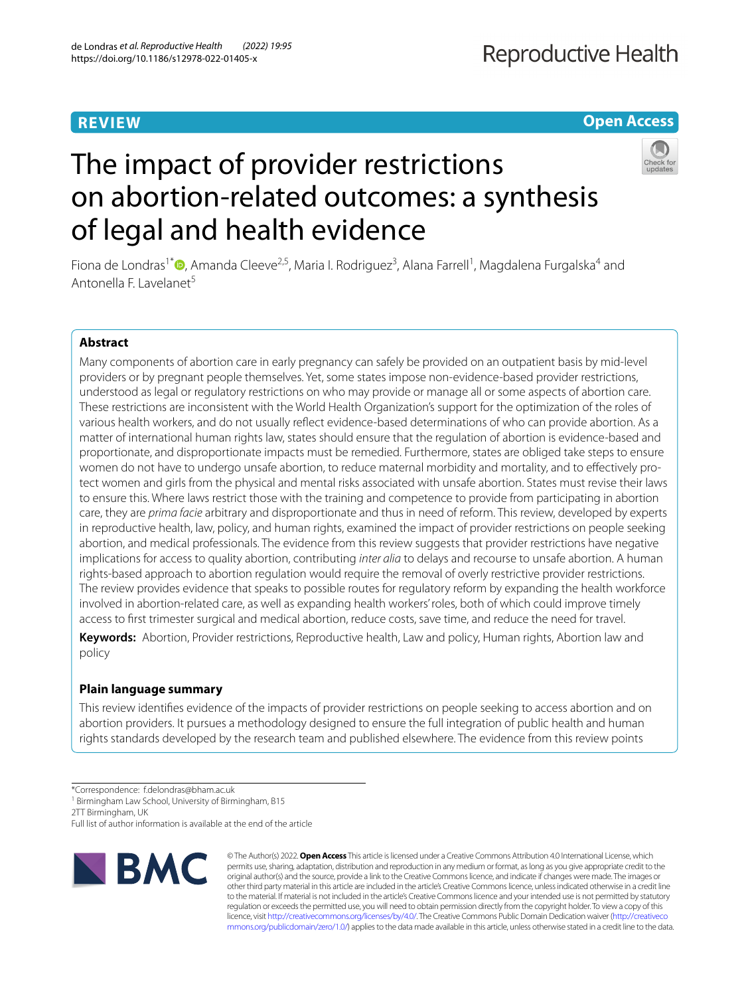# **REVIEW**

# **Open Access**



# The impact of provider restrictions on abortion-related outcomes: a synthesis of legal and health evidence

Fiona de Londras<sup>1\*</sup>®[,](http://orcid.org/0000-0002-3555-6311) Amanda Cleeve<sup>2,5</sup>, Maria I. Rodriguez<sup>3</sup>, Alana Farrell<sup>1</sup>, Magdalena Furgalska<sup>4</sup> and Antonella F. Lavelanet<sup>5</sup>

# **Abstract**

Many components of abortion care in early pregnancy can safely be provided on an outpatient basis by mid-level providers or by pregnant people themselves. Yet, some states impose non-evidence-based provider restrictions, understood as legal or regulatory restrictions on who may provide or manage all or some aspects of abortion care. These restrictions are inconsistent with the World Health Organization's support for the optimization of the roles of various health workers, and do not usually refect evidence-based determinations of who can provide abortion. As a matter of international human rights law, states should ensure that the regulation of abortion is evidence-based and proportionate, and disproportionate impacts must be remedied. Furthermore, states are obliged take steps to ensure women do not have to undergo unsafe abortion, to reduce maternal morbidity and mortality, and to efectively protect women and girls from the physical and mental risks associated with unsafe abortion. States must revise their laws to ensure this. Where laws restrict those with the training and competence to provide from participating in abortion care, they are *prima facie* arbitrary and disproportionate and thus in need of reform. This review, developed by experts in reproductive health, law, policy, and human rights, examined the impact of provider restrictions on people seeking abortion, and medical professionals. The evidence from this review suggests that provider restrictions have negative implications for access to quality abortion, contributing *inter alia* to delays and recourse to unsafe abortion. A human rights-based approach to abortion regulation would require the removal of overly restrictive provider restrictions. The review provides evidence that speaks to possible routes for regulatory reform by expanding the health workforce involved in abortion-related care, as well as expanding health workers' roles, both of which could improve timely access to frst trimester surgical and medical abortion, reduce costs, save time, and reduce the need for travel.

**Keywords:** Abortion, Provider restrictions, Reproductive health, Law and policy, Human rights, Abortion law and policy

# **Plain language summary**

This review identifes evidence of the impacts of provider restrictions on people seeking to access abortion and on abortion providers. It pursues a methodology designed to ensure the full integration of public health and human rights standards developed by the research team and published elsewhere. The evidence from this review points

2TT Birmingham, UK

Full list of author information is available at the end of the article



© The Author(s) 2022. **Open Access** This article is licensed under a Creative Commons Attribution 4.0 International License, which permits use, sharing, adaptation, distribution and reproduction in any medium or format, as long as you give appropriate credit to the original author(s) and the source, provide a link to the Creative Commons licence, and indicate if changes were made. The images or other third party material in this article are included in the article's Creative Commons licence, unless indicated otherwise in a credit line to the material. If material is not included in the article's Creative Commons licence and your intended use is not permitted by statutory regulation or exceeds the permitted use, you will need to obtain permission directly from the copyright holder. To view a copy of this licence, visit [http://creativecommons.org/licenses/by/4.0/.](http://creativecommons.org/licenses/by/4.0/) The Creative Commons Public Domain Dedication waiver ([http://creativeco](http://creativecommons.org/publicdomain/zero/1.0/) [mmons.org/publicdomain/zero/1.0/](http://creativecommons.org/publicdomain/zero/1.0/)) applies to the data made available in this article, unless otherwise stated in a credit line to the data.

<sup>\*</sup>Correspondence: f.delondras@bham.ac.uk

<sup>&</sup>lt;sup>1</sup> Birmingham Law School, University of Birmingham, B15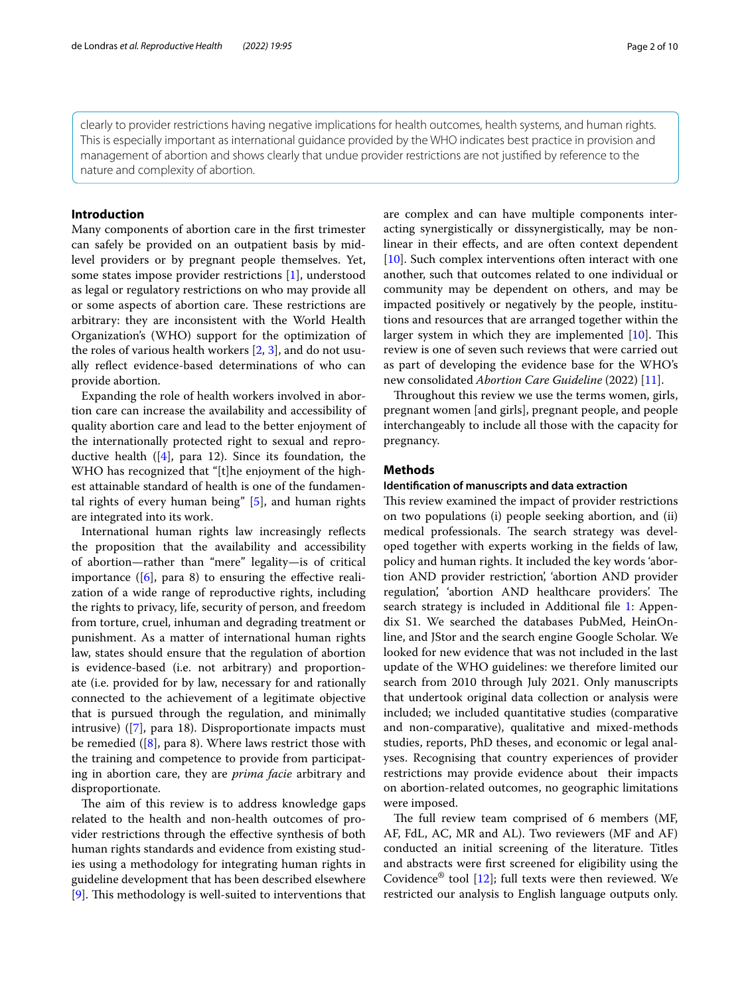clearly to provider restrictions having negative implications for health outcomes, health systems, and human rights. This is especially important as international guidance provided by the WHO indicates best practice in provision and management of abortion and shows clearly that undue provider restrictions are not justifed by reference to the nature and complexity of abortion.

# **Introduction**

Many components of abortion care in the frst trimester can safely be provided on an outpatient basis by midlevel providers or by pregnant people themselves. Yet, some states impose provider restrictions [\[1](#page-9-0)], understood as legal or regulatory restrictions on who may provide all or some aspects of abortion care. These restrictions are arbitrary: they are inconsistent with the World Health Organization's (WHO) support for the optimization of the roles of various health workers [\[2](#page-9-1), [3\]](#page-9-2), and do not usually refect evidence-based determinations of who can provide abortion.

Expanding the role of health workers involved in abortion care can increase the availability and accessibility of quality abortion care and lead to the better enjoyment of the internationally protected right to sexual and reproductive health  $([4],$  $([4],$  $([4],$  para 12). Since its foundation, the WHO has recognized that "[t]he enjoyment of the highest attainable standard of health is one of the fundamental rights of every human being" [[5](#page-9-4)], and human rights are integrated into its work.

International human rights law increasingly refects the proposition that the availability and accessibility of abortion—rather than "mere" legality—is of critical importance  $([6]$  $([6]$  $([6]$ , para 8) to ensuring the effective realization of a wide range of reproductive rights, including the rights to privacy, life, security of person, and freedom from torture, cruel, inhuman and degrading treatment or punishment. As a matter of international human rights law, states should ensure that the regulation of abortion is evidence-based (i.e. not arbitrary) and proportionate (i.e. provided for by law, necessary for and rationally connected to the achievement of a legitimate objective that is pursued through the regulation, and minimally intrusive) ([[7\]](#page-9-6), para 18). Disproportionate impacts must be remedied ([\[8\]](#page-9-7), para 8). Where laws restrict those with the training and competence to provide from participating in abortion care, they are *prima facie* arbitrary and disproportionate.

The aim of this review is to address knowledge gaps related to the health and non-health outcomes of provider restrictions through the efective synthesis of both human rights standards and evidence from existing studies using a methodology for integrating human rights in guideline development that has been described elsewhere [[9\]](#page-9-8). This methodology is well-suited to interventions that are complex and can have multiple components interacting synergistically or dissynergistically, may be nonlinear in their efects, and are often context dependent [[10\]](#page-9-9). Such complex interventions often interact with one another, such that outcomes related to one individual or community may be dependent on others, and may be impacted positively or negatively by the people, institutions and resources that are arranged together within the larger system in which they are implemented  $[10]$  $[10]$ . This review is one of seven such reviews that were carried out as part of developing the evidence base for the WHO's new consolidated *Abortion Care Guideline* (2022) [\[11](#page-9-10)].

Throughout this review we use the terms women, girls, pregnant women [and girls], pregnant people, and people interchangeably to include all those with the capacity for pregnancy.

# **Methods**

# **Identifcation of manuscripts and data extraction**

This review examined the impact of provider restrictions on two populations (i) people seeking abortion, and (ii) medical professionals. The search strategy was developed together with experts working in the felds of law, policy and human rights. It included the key words 'abortion AND provider restriction', 'abortion AND provider regulation', 'abortion AND healthcare providers'. The search strategy is included in Additional file [1:](#page-8-0) Appendix S1. We searched the databases PubMed, HeinOnline, and JStor and the search engine Google Scholar. We looked for new evidence that was not included in the last update of the WHO guidelines: we therefore limited our search from 2010 through July 2021. Only manuscripts that undertook original data collection or analysis were included; we included quantitative studies (comparative and non-comparative), qualitative and mixed-methods studies, reports, PhD theses, and economic or legal analyses. Recognising that country experiences of provider restrictions may provide evidence about their impacts on abortion-related outcomes, no geographic limitations were imposed.

The full review team comprised of 6 members (MF, AF, FdL, AC, MR and AL). Two reviewers (MF and AF) conducted an initial screening of the literature. Titles and abstracts were frst screened for eligibility using the Covidence<sup>®</sup> tool [\[12](#page-9-11)]; full texts were then reviewed. We restricted our analysis to English language outputs only.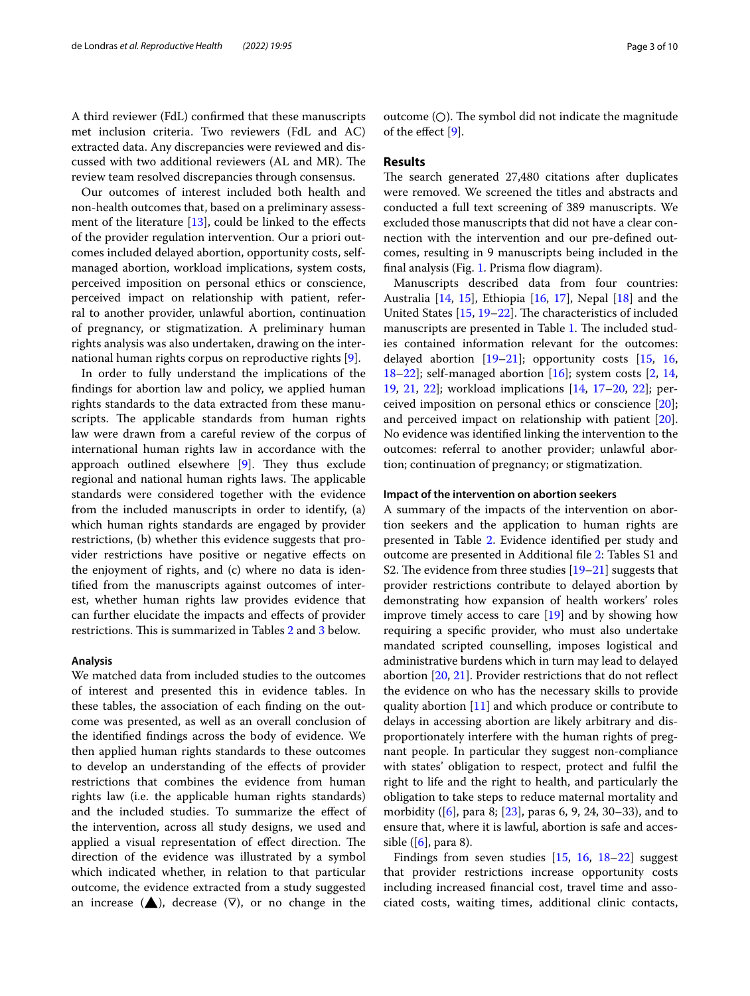A third reviewer (FdL) confrmed that these manuscripts met inclusion criteria. Two reviewers (FdL and AC) extracted data. Any discrepancies were reviewed and discussed with two additional reviewers (AL and MR). The review team resolved discrepancies through consensus.

Our outcomes of interest included both health and non-health outcomes that, based on a preliminary assessment of the literature  $[13]$  $[13]$ , could be linked to the effects of the provider regulation intervention. Our a priori outcomes included delayed abortion, opportunity costs, selfmanaged abortion, workload implications, system costs, perceived imposition on personal ethics or conscience, perceived impact on relationship with patient, referral to another provider, unlawful abortion, continuation of pregnancy, or stigmatization. A preliminary human rights analysis was also undertaken, drawing on the international human rights corpus on reproductive rights [\[9](#page-9-8)].

In order to fully understand the implications of the fndings for abortion law and policy, we applied human rights standards to the data extracted from these manuscripts. The applicable standards from human rights law were drawn from a careful review of the corpus of international human rights law in accordance with the approach outlined elsewhere  $[9]$ . They thus exclude regional and national human rights laws. The applicable standards were considered together with the evidence from the included manuscripts in order to identify, (a) which human rights standards are engaged by provider restrictions, (b) whether this evidence suggests that provider restrictions have positive or negative efects on the enjoyment of rights, and (c) where no data is identifed from the manuscripts against outcomes of interest, whether human rights law provides evidence that can further elucidate the impacts and efects of provider restrictions. This is summarized in Tables [2](#page-6-0) and [3](#page-7-0) below.

#### **Analysis**

We matched data from included studies to the outcomes of interest and presented this in evidence tables. In these tables, the association of each fnding on the outcome was presented, as well as an overall conclusion of the identifed fndings across the body of evidence. We then applied human rights standards to these outcomes to develop an understanding of the efects of provider restrictions that combines the evidence from human rights law (i.e. the applicable human rights standards) and the included studies. To summarize the efect of the intervention, across all study designs, we used and applied a visual representation of effect direction. The direction of the evidence was illustrated by a symbol which indicated whether, in relation to that particular outcome, the evidence extracted from a study suggested an increase  $(\triangle)$ , decrease  $(\nabla)$ , or no change in the outcome  $(O)$ . The symbol did not indicate the magnitude of the efect [\[9](#page-9-8)].

# **Results**

The search generated 27,480 citations after duplicates were removed. We screened the titles and abstracts and conducted a full text screening of 389 manuscripts. We excluded those manuscripts that did not have a clear connection with the intervention and our pre-defned outcomes, resulting in 9 manuscripts being included in the final analysis (Fig. [1](#page-3-0). Prisma flow diagram).

Manuscripts described data from four countries: Australia [[14](#page-9-13), [15](#page-9-14)], Ethiopia [\[16](#page-9-15), [17\]](#page-9-16), Nepal [\[18\]](#page-9-17) and the United States  $[15, 19-22]$  $[15, 19-22]$  $[15, 19-22]$  $[15, 19-22]$ . The characteristics of included manuscripts are presented in Table [1](#page-4-0). The included studies contained information relevant for the outcomes: delayed abortion  $[19-21]$  $[19-21]$  $[19-21]$ ; opportunity costs  $[15, 16,$  $[15, 16,$  $[15, 16,$  $[15, 16,$ [18](#page-9-17)[–22](#page-9-19)]; self-managed abortion  $[16]$  $[16]$ ; system costs  $[2, 14, 14]$  $[2, 14, 14]$  $[2, 14, 14]$  $[2, 14, 14]$ [19,](#page-9-18) [21](#page-9-20), [22](#page-9-19)]; workload implications [\[14,](#page-9-13) [17–](#page-9-16)[20,](#page-9-21) [22](#page-9-19)]; perceived imposition on personal ethics or conscience [\[20](#page-9-21)]; and perceived impact on relationship with patient [\[20](#page-9-21)]. No evidence was identifed linking the intervention to the outcomes: referral to another provider; unlawful abortion; continuation of pregnancy; or stigmatization.

#### **Impact of the intervention on abortion seekers**

A summary of the impacts of the intervention on abortion seekers and the application to human rights are presented in Table [2](#page-6-0). Evidence identifed per study and outcome are presented in Additional fle [2:](#page-8-1) Tables S1 and S2. The evidence from three studies  $[19-21]$  $[19-21]$  suggests that provider restrictions contribute to delayed abortion by demonstrating how expansion of health workers' roles improve timely access to care  $[19]$  $[19]$  and by showing how requiring a specifc provider, who must also undertake mandated scripted counselling, imposes logistical and administrative burdens which in turn may lead to delayed abortion [[20](#page-9-21), [21](#page-9-20)]. Provider restrictions that do not refect the evidence on who has the necessary skills to provide quality abortion [\[11](#page-9-10)] and which produce or contribute to delays in accessing abortion are likely arbitrary and disproportionately interfere with the human rights of pregnant people. In particular they suggest non-compliance with states' obligation to respect, protect and fulfl the right to life and the right to health, and particularly the obligation to take steps to reduce maternal mortality and morbidity ([\[6](#page-9-5)], para 8; [\[23](#page-9-22)], paras 6, 9, 24, 30–33), and to ensure that, where it is lawful, abortion is safe and accessible ( $[6]$ , para 8).

Findings from seven studies [\[15](#page-9-14), [16](#page-9-15), [18–](#page-9-17)[22\]](#page-9-19) suggest that provider restrictions increase opportunity costs including increased fnancial cost, travel time and associated costs, waiting times, additional clinic contacts,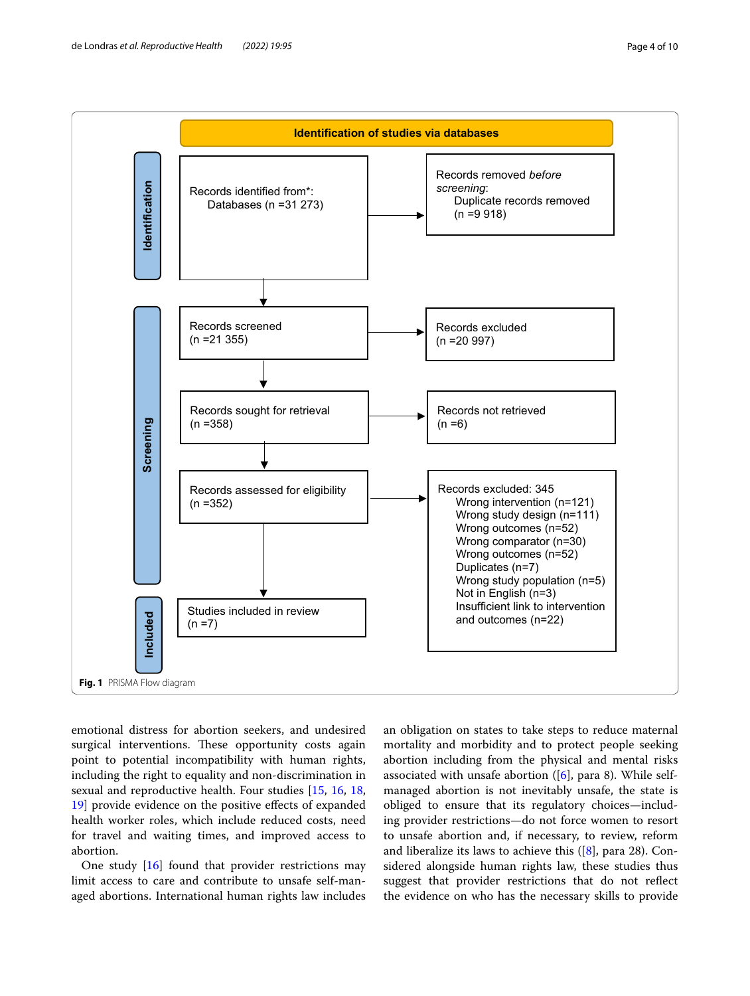

<span id="page-3-0"></span>emotional distress for abortion seekers, and undesired surgical interventions. These opportunity costs again point to potential incompatibility with human rights, including the right to equality and non-discrimination in sexual and reproductive health. Four studies [[15,](#page-9-14) [16,](#page-9-15) [18](#page-9-17), [19\]](#page-9-18) provide evidence on the positive effects of expanded health worker roles, which include reduced costs, need for travel and waiting times, and improved access to abortion.

One study [\[16](#page-9-15)] found that provider restrictions may limit access to care and contribute to unsafe self-managed abortions. International human rights law includes

an obligation on states to take steps to reduce maternal mortality and morbidity and to protect people seeking abortion including from the physical and mental risks associated with unsafe abortion  $([6]$  $([6]$  $([6]$ , para 8). While selfmanaged abortion is not inevitably unsafe, the state is obliged to ensure that its regulatory choices—including provider restrictions—do not force women to resort to unsafe abortion and, if necessary, to review, reform and liberalize its laws to achieve this ([\[8](#page-9-7)], para 28). Considered alongside human rights law, these studies thus suggest that provider restrictions that do not refect the evidence on who has the necessary skills to provide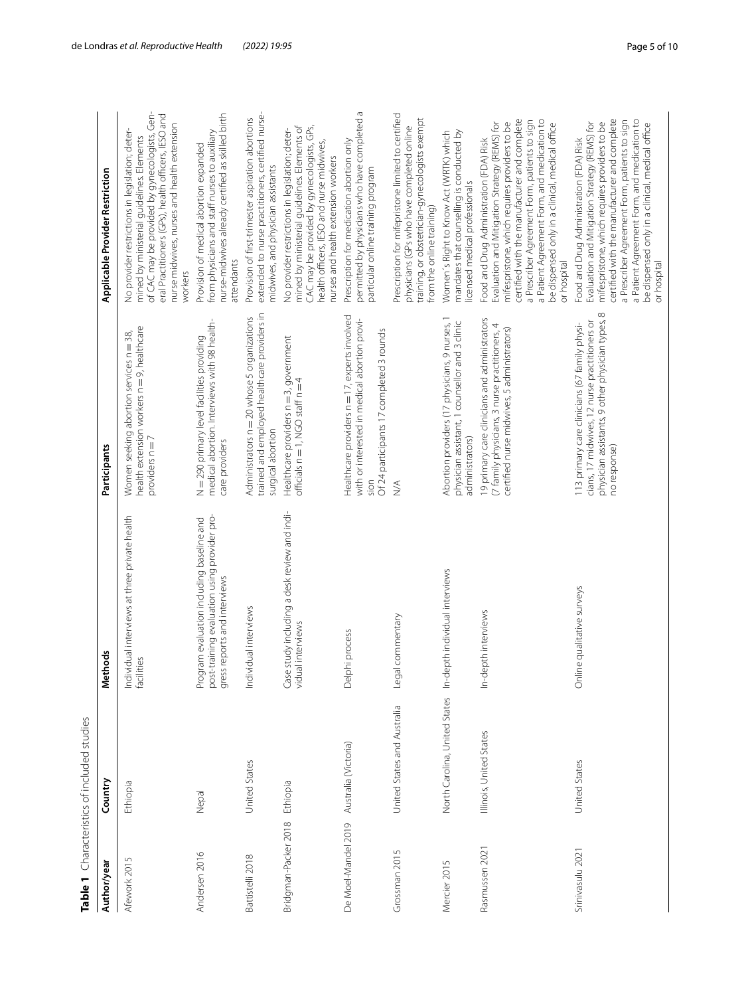| Table <sub>1</sub>   | Characteristics of included studies |                                                                                                                           |                                                                                                                                                                    |                                                                                                                                                                                                                                                                                                                                                             |
|----------------------|-------------------------------------|---------------------------------------------------------------------------------------------------------------------------|--------------------------------------------------------------------------------------------------------------------------------------------------------------------|-------------------------------------------------------------------------------------------------------------------------------------------------------------------------------------------------------------------------------------------------------------------------------------------------------------------------------------------------------------|
| Author/year          | Country                             | thods<br>ğ                                                                                                                | Participants                                                                                                                                                       | Applicable Provider Restriction                                                                                                                                                                                                                                                                                                                             |
| Afework 2015         | Ethiopia                            | Individual interviews at three private health<br>facilities                                                               | health extension workers n = 9, health care<br>Women seeking abortion services n = 38,<br>providers $n = 7$                                                        | of CAC may be provided by gynecologists, Gen-<br>eral Practitioners (GPs), health officers, IESO and<br>nurse midwives, nurses and health extension<br>No provider restrictions in legislation; deter-<br>mined by ministerial guidelines. Elements<br>workers                                                                                              |
| Andersen 2016        | Nepal                               | post-training evaluation using provider pro-<br>Program evaluation including baseline and<br>gress reports and interviews | medical abortion. Interviews with 98 health-<br>N = 290 primary level facilities providing<br>care providers                                                       | nurse-midwives already certified as skilled birth<br>from physicians and staff nurses to auxiliary<br>Provision of medical abortion expanded<br>attendants                                                                                                                                                                                                  |
| Battistelli 2018     | United States                       | Individual interviews                                                                                                     | trained and employed healthcare providers in<br>Administrators n = 20 whose 5 organizations<br>surgical abortion                                                   | extended to nurse practitioners, certified nurse-<br>Provision of first-trimester aspiration abortions<br>midwives, and physician assistants                                                                                                                                                                                                                |
| Bridgman-Packer 2018 | Ethiopia                            | Case study including a desk review and indi-<br>vidual interviews                                                         | Healthcare providers n = 3, government<br>officials $n = 1$ , NGO staff $n = 4$                                                                                    | CAC may be provided by gynecologists, GPs,<br>mined by ministerial guidelines. Elements of<br>No provider restrictions in legislation; deter-<br>health officers, IESO and nurse midwives,<br>nurses and health extension workers                                                                                                                           |
| De Moel-Mandel 2019  | Australia (Victoria)                | Delphi process                                                                                                            | Healthcare providers n = 17, experts involved<br>with or interested in medical abortion provi-<br>Of 24 participants 17 completed 3 rounds<br>sion                 | permitted by physicians who have completed a<br>Prescription for medication abortion only<br>particular online training program                                                                                                                                                                                                                             |
| Grossman 2015        | United States and Australia         | Legal commentary                                                                                                          | $\stackrel{\triangle}{\geq}$                                                                                                                                       | Prescription for mifepristone limited to certified<br>training, or obstetrician-gynecologists exempt<br>physicians (GPs who have completed online<br>from the online training)                                                                                                                                                                              |
| Mercier 2015         |                                     | North Carolina, United States In-depth individual interviews                                                              | Abortion providers (17 physicians, 9 nurses, 1<br>physician assistant, 1 counsellor and 3 clinic<br>administrators)                                                | mandates that counselling is conducted by<br>Women's Right to Know Act (WRTK) which<br>licensed medical professionals                                                                                                                                                                                                                                       |
| Rasmussen 2021       | Illinois, United States             | In-depth interviews                                                                                                       | 19 primary care clinicians and administrators<br>(7 family physicians, 3 nurse practitioners, 4<br>certified nurse midwives, 5 administrators)                     | certified with the manufacturer and complete<br>a Patient Agreement Form, and medication to<br>a Prescriber Agreement Form, patients to sign<br>mifespristone, which requires providers to be<br>Evaluation and Mitigation Strategy (REMS) for<br>be dispensed only in a clinical, medical office<br>Food and Drug Administration (FDA) Risk<br>or hospital |
| Srinivasulu 2021     | United States                       | ne qualitative surveys<br>Öπ                                                                                              | physician assistants, 9 other physician types, 8<br>cians, 17 midwives, 12 nurse practitioners or<br>113 primary care clinicians (67 family physi-<br>no response) | certified with the manufacturer and complete<br>a Patient Agreement Form, and medication to<br>a Prescriber Agreement Form, patients to sign<br>mifespristone, which requires providers to be<br>Evaluation and Mitigation Strategy (REMS) for<br>be dispensed only in a clinical, medical office<br>Food and Drug Administration (FDA) Risk<br>or hospital |

<span id="page-4-0"></span>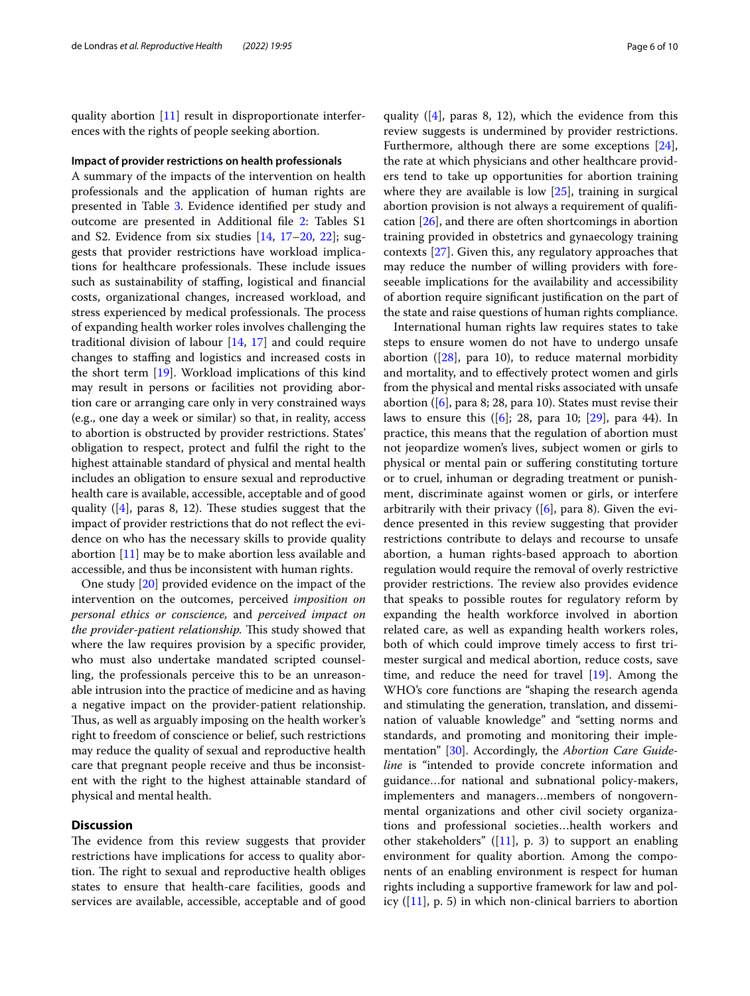quality abortion [[11\]](#page-9-10) result in disproportionate interferences with the rights of people seeking abortion.

#### **Impact of provider restrictions on health professionals**

A summary of the impacts of the intervention on health professionals and the application of human rights are presented in Table [3](#page-7-0). Evidence identifed per study and outcome are presented in Additional fle [2:](#page-8-1) Tables S1 and S2. Evidence from six studies [[14](#page-9-13), [17](#page-9-16)[–20](#page-9-21), [22\]](#page-9-19); suggests that provider restrictions have workload implications for healthcare professionals. These include issues such as sustainability of staffing, logistical and financial costs, organizational changes, increased workload, and stress experienced by medical professionals. The process of expanding health worker roles involves challenging the traditional division of labour [[14,](#page-9-13) [17](#page-9-16)] and could require changes to stafng and logistics and increased costs in the short term [[19\]](#page-9-18). Workload implications of this kind may result in persons or facilities not providing abortion care or arranging care only in very constrained ways (e.g., one day a week or similar) so that, in reality, access to abortion is obstructed by provider restrictions. States' obligation to respect, protect and fulfl the right to the highest attainable standard of physical and mental health includes an obligation to ensure sexual and reproductive health care is available, accessible, acceptable and of good quality ( $[4]$  $[4]$ , paras 8, 12). These studies suggest that the impact of provider restrictions that do not refect the evidence on who has the necessary skills to provide quality abortion [[11\]](#page-9-10) may be to make abortion less available and accessible, and thus be inconsistent with human rights.

One study [[20\]](#page-9-21) provided evidence on the impact of the intervention on the outcomes, perceived *imposition on personal ethics or conscience,* and *perceived impact on the provider-patient relationship*. This study showed that where the law requires provision by a specifc provider, who must also undertake mandated scripted counselling, the professionals perceive this to be an unreasonable intrusion into the practice of medicine and as having a negative impact on the provider-patient relationship. Thus, as well as arguably imposing on the health worker's right to freedom of conscience or belief, such restrictions may reduce the quality of sexual and reproductive health care that pregnant people receive and thus be inconsistent with the right to the highest attainable standard of physical and mental health.

# **Discussion**

The evidence from this review suggests that provider restrictions have implications for access to quality abortion. The right to sexual and reproductive health obliges states to ensure that health-care facilities, goods and services are available, accessible, acceptable and of good

quality  $([4]$  $([4]$ , paras 8, 12), which the evidence from this review suggests is undermined by provider restrictions. Furthermore, although there are some exceptions [\[24](#page-9-23)], the rate at which physicians and other healthcare providers tend to take up opportunities for abortion training where they are available is low [[25](#page-9-24)], training in surgical abortion provision is not always a requirement of qualifcation [[26\]](#page-9-25), and there are often shortcomings in abortion training provided in obstetrics and gynaecology training contexts [\[27\]](#page-9-26). Given this, any regulatory approaches that may reduce the number of willing providers with foreseeable implications for the availability and accessibility of abortion require signifcant justifcation on the part of the state and raise questions of human rights compliance.

International human rights law requires states to take steps to ensure women do not have to undergo unsafe abortion ( $[28]$  $[28]$  $[28]$ , para 10), to reduce maternal morbidity and mortality, and to efectively protect women and girls from the physical and mental risks associated with unsafe abortion ([[6\]](#page-9-5), para 8; 28, para 10). States must revise their laws to ensure this ([\[6](#page-9-5)]; 28, para 10; [[29\]](#page-9-28), para 44). In practice, this means that the regulation of abortion must not jeopardize women's lives, subject women or girls to physical or mental pain or sufering constituting torture or to cruel, inhuman or degrading treatment or punishment, discriminate against women or girls, or interfere arbitrarily with their privacy  $([6]$  $([6]$ , para 8). Given the evidence presented in this review suggesting that provider restrictions contribute to delays and recourse to unsafe abortion, a human rights-based approach to abortion regulation would require the removal of overly restrictive provider restrictions. The review also provides evidence that speaks to possible routes for regulatory reform by expanding the health workforce involved in abortion related care, as well as expanding health workers roles, both of which could improve timely access to frst trimester surgical and medical abortion, reduce costs, save time, and reduce the need for travel [[19\]](#page-9-18). Among the WHO's core functions are "shaping the research agenda and stimulating the generation, translation, and dissemination of valuable knowledge" and "setting norms and standards, and promoting and monitoring their implementation" [[30\]](#page-9-29). Accordingly, the *Abortion Care Guideline* is "intended to provide concrete information and guidance…for national and subnational policy-makers, implementers and managers…members of nongovernmental organizations and other civil society organizations and professional societies…health workers and other stakeholders" ([[11](#page-9-10)], p. 3) to support an enabling environment for quality abortion. Among the components of an enabling environment is respect for human rights including a supportive framework for law and policy  $([11], p. 5)$  $([11], p. 5)$  $([11], p. 5)$  in which non-clinical barriers to abortion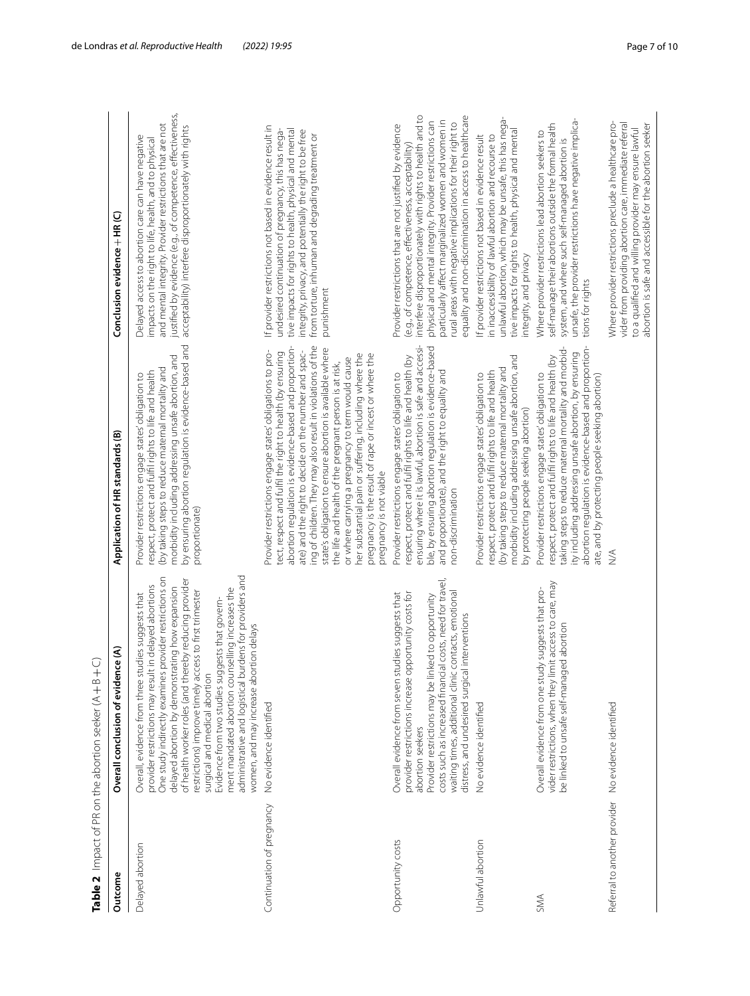|                                                       | Table 2 $\,$ Impact of PR on the abortion seeker (A $+$ B $+$ C.)                                                                                                                                                                                                                                                                                                                                                                                                                                                                                                                            |                                                                                                                                                                                                                                                                                                                                                                                                                                                                                                                                                                                                                                |                                                                                                                                                                                                                                                                                                                                                                                                                         |
|-------------------------------------------------------|----------------------------------------------------------------------------------------------------------------------------------------------------------------------------------------------------------------------------------------------------------------------------------------------------------------------------------------------------------------------------------------------------------------------------------------------------------------------------------------------------------------------------------------------------------------------------------------------|--------------------------------------------------------------------------------------------------------------------------------------------------------------------------------------------------------------------------------------------------------------------------------------------------------------------------------------------------------------------------------------------------------------------------------------------------------------------------------------------------------------------------------------------------------------------------------------------------------------------------------|-------------------------------------------------------------------------------------------------------------------------------------------------------------------------------------------------------------------------------------------------------------------------------------------------------------------------------------------------------------------------------------------------------------------------|
| Outcome                                               | ।<br>ଜ<br>Overall conclusion of eviden                                                                                                                                                                                                                                                                                                                                                                                                                                                                                                                                                       | Application of HR standards (B)                                                                                                                                                                                                                                                                                                                                                                                                                                                                                                                                                                                                | Conclusion evidence + HR (C)                                                                                                                                                                                                                                                                                                                                                                                            |
| Delayed abortion                                      | administrative and logistical burdens for providers and<br>provider restrictions on<br>of health worker roles (and thereby reducing provider<br>delayed abortion by demonstrating how expansion<br>provider restrictions may result in delayed abortions<br>ment mandated abortion counselling increases the<br>restrictions) improve timely access to first trimester<br>Overall, evidence from three studies suggests that<br>Evidence from two studies suggests that govern-<br>women, and may increase abortion delays<br>One study indirectly examines<br>surgical and medical abortion | by ensuring abortion regulation is evidence-based and<br>morbidity including addressing unsafe abortion, and<br>(by taking steps to reduce maternal mortality and<br>respect, protect and fulfil rights to life and health<br>Provider restrictions engage states' obligation to<br>proportionate)                                                                                                                                                                                                                                                                                                                             | justified by evidence (e.g., of competence, effectiveness,<br>and mental integrity. Provider restrictions that are not<br>acceptability) interfere disproportionately with rights<br>Delayed access to abortion care can have negative<br>impacts on the right to life, health, and to physical                                                                                                                         |
| Continuation of pregnancy                             | No evidence identified                                                                                                                                                                                                                                                                                                                                                                                                                                                                                                                                                                       | ing of children. They may also result in violations of the<br>abortion regulation is evidence-based and proportion-<br>state's obligation to ensure abortion is available where<br>Provider restrictions engage states' obligations to pro-<br>ate) and the right to decide on the number and spac-<br>tect, respect and fulfil the right to health (by ensuring<br>her substantial pain or suffering, including where the<br>pregnancy is the result of rape or incest or where the<br>or where carrying a pregnancy to term would cause<br>the life and health of the pregnant person is at risk,<br>pregnancy is not viable | If provider restrictions not based in evidence result in<br>undesired continuation of pregnancy, this has nega-<br>tive impacts for rights to health, physical and mental<br>integrity, privacy, and potentially the right to be free<br>from torture, inhuman and degrading treatment or<br>punishment                                                                                                                 |
| Opportunity costs                                     | costs such as increased financial costs, need for travel,<br>provider restrictions increase opportunity costs for<br>contacts, emotional<br>Overall evidence from seven studies suggests that<br>Provider restrictions may be linked to opportunity<br>distress, and undesired surgical interventions<br>waiting times, additional clinic<br>abortion seekers                                                                                                                                                                                                                                | ensuring where it is lawful, abortion is safe and accessi-<br>ble, by ensuring abortion regulation is evidence-based<br>Provider restrictions engage states' obligation to<br>respect, protect and fulfil rights to life and health (by<br>and proportionate), and the right to equality and<br>non-discrimination                                                                                                                                                                                                                                                                                                             | interfere disproportionately with rights to health and to<br>equality and non-discrimination in access to healthcare<br>physical and mental integrity. Provider restrictions can<br>particularly affect marginalized women and women in<br>rural areas with negative implications for their right to<br>Provider restrictions that are not justified by evidence<br>(e.g., of competence, effectiveness, acceptability) |
| Unlawful abortion                                     | No evidence identified                                                                                                                                                                                                                                                                                                                                                                                                                                                                                                                                                                       | morbidity including addressing unsafe abortion, and<br>(by taking steps to reduce maternal mortality and<br>respect, protect and fulfil rights to life and health<br>Provider restrictions engage states' obligation to<br>by protecting people seeking abortion)                                                                                                                                                                                                                                                                                                                                                              | unlawful abortion, which may be unsafe, this has nega-<br>tive impacts for rights to health, physical and mental<br>in inaccessibility of lawful abortion and recourse to<br>If provider restrictions not based in evidence result<br>integrity, and privacy                                                                                                                                                            |
| SMA                                                   | vider restrictions, when they limit access to care, may<br>Overall evidence from one study suggests that pro-<br>jed abortion<br>be linked to unsafe self-manag                                                                                                                                                                                                                                                                                                                                                                                                                              | abortion regulation is evidence-based and proportion-<br>taking steps to reduce maternal mortality and morbid-<br>ity including addressing unsafe abortion, by ensuring<br>respect, protect and fulfil rights to life and health (by<br>Provider restrictions engage states' obligation to<br>ate, and by protecting people seeking abortion)                                                                                                                                                                                                                                                                                  | unsafe, the provider restrictions have negative implica-<br>self-manage their abortions outside the formal health<br>Where provider restrictions lead abortion seekers to<br>system, and where such self-managed abortion is<br>tions for rights                                                                                                                                                                        |
| Referral to another provider   No evidence identified |                                                                                                                                                                                                                                                                                                                                                                                                                                                                                                                                                                                              | ∖<br>M                                                                                                                                                                                                                                                                                                                                                                                                                                                                                                                                                                                                                         | Where provider restrictions preclude a healthcare pro-<br>vider from providing abortion care, immediate referral<br>to a qualified and willing provider may ensure lawful<br>abortion is safe and accessible for the abortion seeker                                                                                                                                                                                    |

<span id="page-6-0"></span> $(A + B + C)$ **Table 2** Impact of PR on the abortion seeker (A E,  $\frac{1}{2}$  $\Delta$  $\frac{1}{2}$  $F_{\text{DD}}$ Table 3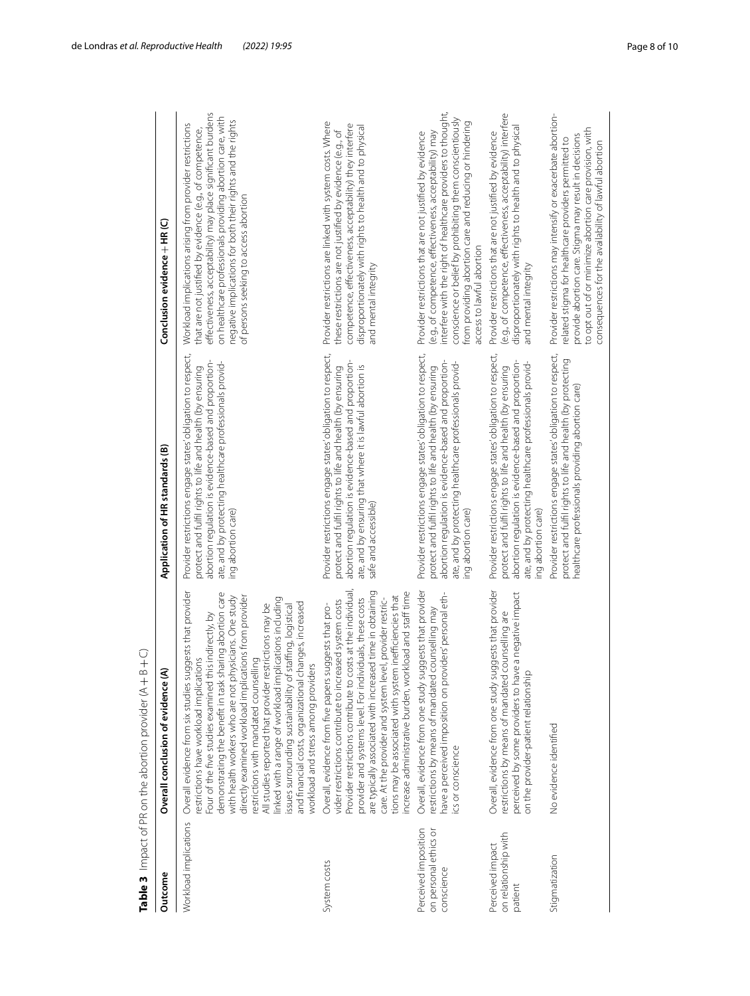| Outcome                                                     | Overall conclusion of evidence (A)                                                                                                                                                                                                                                                                                                                                                                                                                                                                                                                                                                                                                                         | Application of HR standards (B)                                                                                                                                                                                                                                       | Conclusion evidence + HR (C)                                                                                                                                                                                                                                                                                                                            |
|-------------------------------------------------------------|----------------------------------------------------------------------------------------------------------------------------------------------------------------------------------------------------------------------------------------------------------------------------------------------------------------------------------------------------------------------------------------------------------------------------------------------------------------------------------------------------------------------------------------------------------------------------------------------------------------------------------------------------------------------------|-----------------------------------------------------------------------------------------------------------------------------------------------------------------------------------------------------------------------------------------------------------------------|---------------------------------------------------------------------------------------------------------------------------------------------------------------------------------------------------------------------------------------------------------------------------------------------------------------------------------------------------------|
| Workload implications                                       | iggests that provider<br>demonstrating the benefit in task sharing abortion care<br>with health workers who are not physicians. One study<br>directly examined workload implications from provider<br>linked with a range of workload implications including<br>and financial costs, organizational changes, increased<br>All studies reported that provider restrictions may be<br>issues surrounding sustainability of staffing, logistical<br>Four of the five studies examined this indirectly, by<br>restrictions with mandated counselling<br>restrictions have workload implications<br>workload and stress among providers<br>Overall evidence from six studies su | Provider restrictions engage states' obligation to respect,<br>abortion regulation is evidence-based and proportion-<br>ate, and by protecting healthcare professionals provid-<br>protect and fulfil rights to life and health (by ensuring<br>ing abortion care)    | effectiveness, acceptability) may place significant burdens<br>on healthcare professionals providing abortion care, with<br>negative implications for both their rights and the rights<br>Workload implications arising from provider restrictions<br>that are not justified by evidence (e.g., of competence,<br>of persons seeking to access abortion |
| System costs                                                | are typically associated with increased time in obtaining<br>increase administrative burden, workload and staff time<br>Provider restrictions contribute to costs at the individual<br>tions may be associated with system inefficiencies that<br>provider and systems level. For individuals, these costs<br>care. At the provider and system level, provider restric-<br>vider restrictions contribute to increased system costs<br>Overall, evidence from five papers suggests that pro-                                                                                                                                                                                | Provider restrictions engage states' obligation to respect,<br>abortion regulation is evidence-based and proportion-<br>ate, and by ensuring that where it is lawful abortion is<br>protect and fulfil rights to life and health (by ensuring<br>safe and accessible) | Provider restrictions are linked with system costs. Where<br>competence, effectiveness, acceptability) they interfere<br>disproportionately with rights to health and to physical<br>these restrictions are not justified by evidence (e.g., of<br>and mental integrity                                                                                 |
| Perceived imposition<br>on personal ethics or<br>conscience | Overall, evidence from one study suggests that provider<br>have a perceived imposition on providers' personal eth-<br>restrictions by means of mandated counselling may<br>cs or conscience                                                                                                                                                                                                                                                                                                                                                                                                                                                                                | Provider restrictions engage states' obligation to respect,<br>abortion regulation is evidence-based and proportion-<br>ate, and by protecting healthcare professionals provid-<br>protect and fulfil rights to life and health (by ensuring<br>ing abortion care)    | interfere with the right of healthcare providers to thought,<br>conscience or belief by prohibiting them conscientiously<br>from providing abortion care and reducing or hindering<br>(e.g., of competence, effectiveness, acceptability) may<br>Provider restrictions that are not justified by evidence<br>access to lawful abortion                  |
| on relationship with<br>Perceived impact<br>patient         | Overall, evidence from one study suggests that provider<br>perceived by some providers to have a negative impact<br>restrictions by means of mandated counselling are<br>on the provider-patient relationship                                                                                                                                                                                                                                                                                                                                                                                                                                                              | Provider restrictions engage states' obligation to respect,<br>abortion regulation is evidence-based and proportion-<br>ate, and by protecting healthcare professionals provid-<br>protect and fulfil rights to life and health (by ensuring<br>ing abortion care)    | (e.g., of competence, effectiveness, acceptability) interfere<br>disproportionately with rights to health and to physical<br>Provider restrictions that are not justified by evidence<br>and mental integrity                                                                                                                                           |
| Stigmatization                                              | No evidence identified                                                                                                                                                                                                                                                                                                                                                                                                                                                                                                                                                                                                                                                     | Provider restrictions engage states' obligation to respect,<br>protect and fulfil rights to life and health (by protecting<br>healthcare professionals providing abortion care)                                                                                       | Provider restrictions may intensify or exacerbate abortion-<br>to opt out of or minimize abortion care provision, with<br>provide abortion care. Stigma may result in decisions<br>related stigma for healthcare providers permitted to<br>consequences for the availability of lawful abortion                                                         |

<span id="page-7-0"></span>**Table 3** Impact of PR on the abortion provider (A Table 3 Impact of PR on the abortion provider  $(A+B+C)$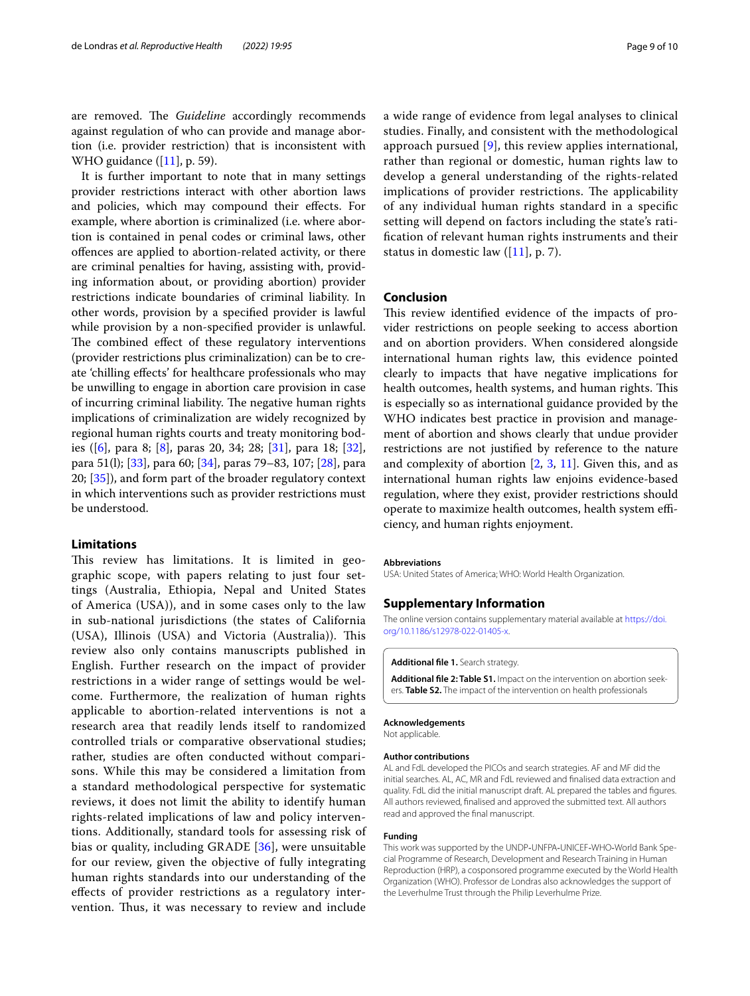are removed. The *Guideline* accordingly recommends against regulation of who can provide and manage abortion (i.e. provider restriction) that is inconsistent with WHO guidance ([[11\]](#page-9-10), p. 59).

It is further important to note that in many settings provider restrictions interact with other abortion laws and policies, which may compound their efects. For example, where abortion is criminalized (i.e. where abortion is contained in penal codes or criminal laws, other ofences are applied to abortion-related activity, or there are criminal penalties for having, assisting with, providing information about, or providing abortion) provider restrictions indicate boundaries of criminal liability. In other words, provision by a specifed provider is lawful while provision by a non-specifed provider is unlawful. The combined effect of these regulatory interventions (provider restrictions plus criminalization) can be to create 'chilling efects' for healthcare professionals who may be unwilling to engage in abortion care provision in case of incurring criminal liability. The negative human rights implications of criminalization are widely recognized by regional human rights courts and treaty monitoring bodies ([[6](#page-9-5)], para 8; [[8\]](#page-9-7), paras 20, 34; 28; [\[31\]](#page-9-30), para 18; [\[32](#page-9-31)], para 51(l); [[33\]](#page-9-32), para 60; [[34\]](#page-9-33), paras 79–83, 107; [[28\]](#page-9-27), para 20; [\[35](#page-9-34)]), and form part of the broader regulatory context in which interventions such as provider restrictions must be understood.

# **Limitations**

This review has limitations. It is limited in geographic scope, with papers relating to just four settings (Australia, Ethiopia, Nepal and United States of America (USA)), and in some cases only to the law in sub-national jurisdictions (the states of California (USA), Illinois (USA) and Victoria (Australia)). This review also only contains manuscripts published in English. Further research on the impact of provider restrictions in a wider range of settings would be welcome. Furthermore, the realization of human rights applicable to abortion-related interventions is not a research area that readily lends itself to randomized controlled trials or comparative observational studies; rather, studies are often conducted without comparisons. While this may be considered a limitation from a standard methodological perspective for systematic reviews, it does not limit the ability to identify human rights-related implications of law and policy interventions. Additionally, standard tools for assessing risk of bias or quality, including GRADE [\[36](#page-9-35)], were unsuitable for our review, given the objective of fully integrating human rights standards into our understanding of the efects of provider restrictions as a regulatory intervention. Thus, it was necessary to review and include a wide range of evidence from legal analyses to clinical studies. Finally, and consistent with the methodological approach pursued [[9](#page-9-8)], this review applies international, rather than regional or domestic, human rights law to develop a general understanding of the rights-related implications of provider restrictions. The applicability of any individual human rights standard in a specifc setting will depend on factors including the state's ratifcation of relevant human rights instruments and their status in domestic law  $([11], p. 7)$  $([11], p. 7)$  $([11], p. 7)$ .

## **Conclusion**

This review identified evidence of the impacts of provider restrictions on people seeking to access abortion and on abortion providers. When considered alongside international human rights law, this evidence pointed clearly to impacts that have negative implications for health outcomes, health systems, and human rights. This is especially so as international guidance provided by the WHO indicates best practice in provision and management of abortion and shows clearly that undue provider restrictions are not justifed by reference to the nature and complexity of abortion  $[2, 3, 11]$  $[2, 3, 11]$  $[2, 3, 11]$  $[2, 3, 11]$  $[2, 3, 11]$ . Given this, and as international human rights law enjoins evidence-based regulation, where they exist, provider restrictions should operate to maximize health outcomes, health system efficiency, and human rights enjoyment.

#### **Abbreviations**

USA: United States of America; WHO: World Health Organization.

## **Supplementary Information**

The online version contains supplementary material available at [https://doi.](https://doi.org/10.1186/s12978-022-01405-x) [org/10.1186/s12978-022-01405-x.](https://doi.org/10.1186/s12978-022-01405-x)

#### <span id="page-8-1"></span><span id="page-8-0"></span>**Additional fle 1.** Search strategy.

**Additional fle 2: Table S1.** Impact on the intervention on abortion seekers. **Table S2.** The impact of the intervention on health professionals

#### **Acknowledgements**

Not applicable.

#### **Author contributions**

AL and FdL developed the PICOs and search strategies. AF and MF did the initial searches. AL, AC, MR and FdL reviewed and fnalised data extraction and quality. FdL did the initial manuscript draft. AL prepared the tables and fgures. All authors reviewed, fnalised and approved the submitted text. All authors read and approved the fnal manuscript.

#### **Funding**

This work was supported by the UNDP‐UNFPA‐UNICEF‐WHO‐World Bank Special Programme of Research, Development and Research Training in Human Reproduction (HRP), a cosponsored programme executed by the World Health Organization (WHO). Professor de Londras also acknowledges the support of the Leverhulme Trust through the Philip Leverhulme Prize.